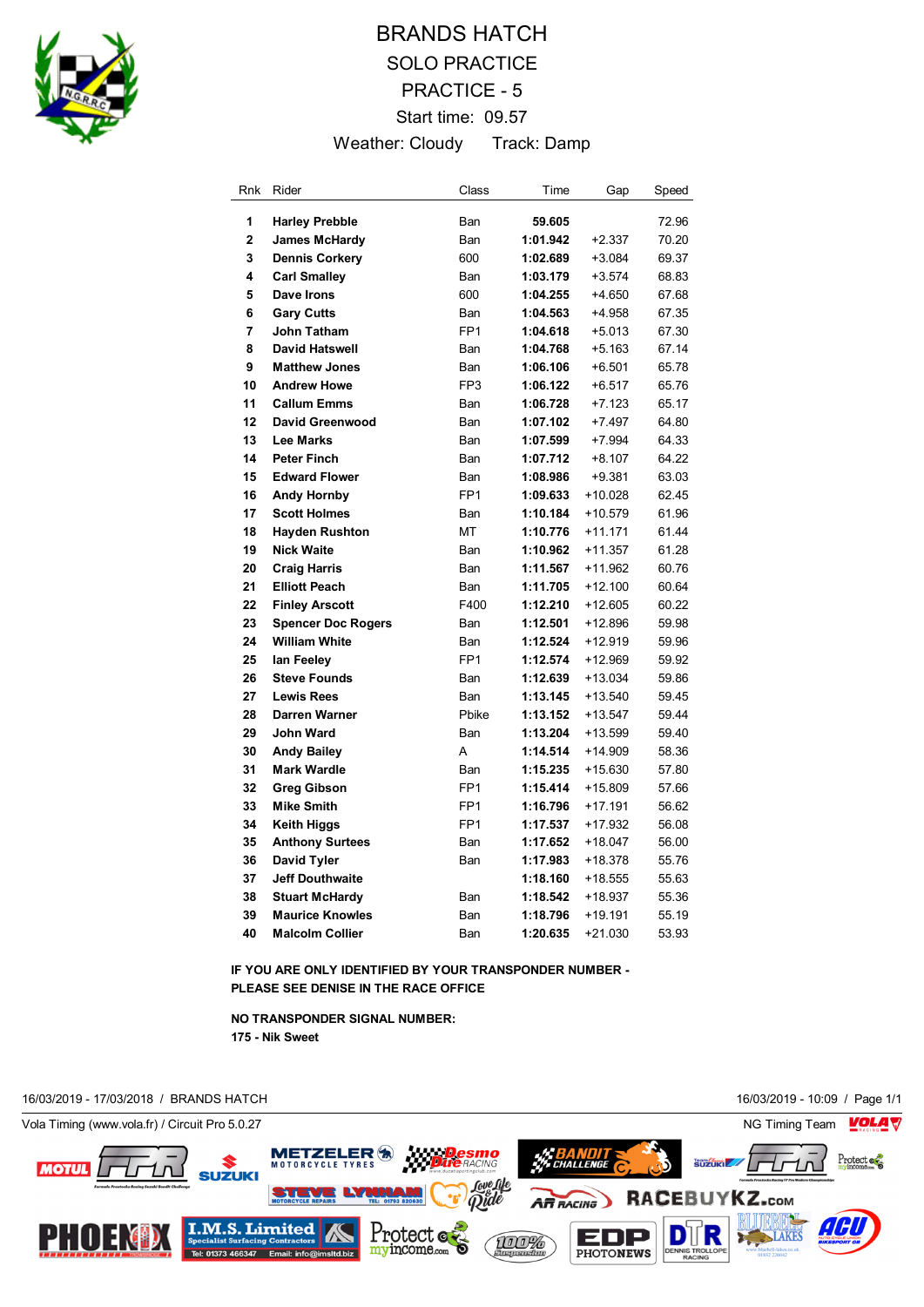

## BRANDS HATCH SOLO PRACTICE PRACTICE - 5 Start time: 09.57 Weather: Cloudy Track: Damp

| Rnk | Rider                     | Class           | Time     | Gap       | Speed |
|-----|---------------------------|-----------------|----------|-----------|-------|
| 1   | <b>Harley Prebble</b>     | Ban             | 59.605   |           | 72.96 |
| 2   | <b>James McHardy</b>      | Ban             | 1:01.942 | $+2.337$  | 70.20 |
| 3   | <b>Dennis Corkery</b>     | 600             | 1:02.689 | $+3.084$  | 69.37 |
| 4   | <b>Carl Smalley</b>       | Ban             | 1:03.179 | $+3.574$  | 68.83 |
| 5   | Dave Irons                | 600             | 1:04.255 | $+4.650$  | 67.68 |
| 6   | <b>Gary Cutts</b>         | Ban             | 1:04.563 | $+4.958$  | 67.35 |
| 7   | John Tatham               | FP <sub>1</sub> | 1:04.618 | +5.013    | 67.30 |
| 8   | <b>David Hatswell</b>     | Ban             | 1:04.768 | $+5.163$  | 67.14 |
| 9   | <b>Matthew Jones</b>      | Ban             | 1:06.106 | $+6.501$  | 65.78 |
| 10  | <b>Andrew Howe</b>        | FP3             | 1:06.122 | $+6.517$  | 65.76 |
| 11  | <b>Callum Emms</b>        | Ban             | 1:06.728 | $+7.123$  | 65.17 |
| 12  | <b>David Greenwood</b>    | Ban             | 1:07.102 | $+7.497$  | 64.80 |
| 13  | <b>Lee Marks</b>          | Ban             | 1:07.599 | $+7.994$  | 64.33 |
| 14  | <b>Peter Finch</b>        | Ban             | 1:07.712 | $+8.107$  | 64.22 |
| 15  | <b>Edward Flower</b>      | Ban             | 1:08.986 | $+9.381$  | 63.03 |
| 16  | <b>Andy Hornby</b>        | FP <sub>1</sub> | 1:09.633 | $+10.028$ | 62.45 |
| 17  | <b>Scott Holmes</b>       | Ban             | 1:10.184 | $+10.579$ | 61.96 |
| 18  | <b>Hayden Rushton</b>     | МT              | 1:10.776 | $+11.171$ | 61.44 |
| 19  | <b>Nick Waite</b>         | <b>Ban</b>      | 1:10.962 | $+11.357$ | 61.28 |
| 20  | <b>Craig Harris</b>       | Ban             | 1:11.567 | $+11.962$ | 60.76 |
| 21  | <b>Elliott Peach</b>      | Ban             | 1:11.705 | $+12.100$ | 60.64 |
| 22  | <b>Finley Arscott</b>     | F400            | 1:12.210 | $+12.605$ | 60.22 |
| 23  | <b>Spencer Doc Rogers</b> | Ban             | 1:12.501 | +12.896   | 59.98 |
| 24  | <b>William White</b>      | Ban             | 1:12.524 | $+12.919$ | 59.96 |
| 25  | lan Feeley                | FP <sub>1</sub> | 1:12.574 | $+12.969$ | 59.92 |
| 26  | <b>Steve Founds</b>       | Ban             | 1:12.639 | $+13.034$ | 59.86 |
| 27  | <b>Lewis Rees</b>         | Ban             | 1:13.145 | $+13.540$ | 59.45 |
| 28  | <b>Darren Warner</b>      | Pbike           | 1:13.152 | $+13.547$ | 59.44 |
| 29  | <b>John Ward</b>          | Ban             | 1:13.204 | $+13.599$ | 59.40 |
| 30  | <b>Andy Bailey</b>        | A               | 1:14.514 | $+14.909$ | 58.36 |
| 31  | <b>Mark Wardle</b>        | Ban             | 1:15.235 | +15.630   | 57.80 |
| 32  | <b>Greg Gibson</b>        | FP <sub>1</sub> | 1:15.414 | $+15.809$ | 57.66 |
| 33  | <b>Mike Smith</b>         | FP <sub>1</sub> | 1:16.796 | $+17.191$ | 56.62 |
| 34  | <b>Keith Higgs</b>        | FP <sub>1</sub> | 1:17.537 | $+17.932$ | 56.08 |
| 35  | <b>Anthony Surtees</b>    | Ban             | 1:17.652 | $+18.047$ | 56.00 |
| 36  | <b>David Tyler</b>        | Ban             | 1:17.983 | $+18.378$ | 55.76 |
| 37  | <b>Jeff Douthwaite</b>    |                 | 1:18.160 | +18.555   | 55.63 |
| 38  | <b>Stuart McHardy</b>     | Ban             | 1:18.542 | $+18.937$ | 55.36 |
| 39  | <b>Maurice Knowles</b>    | Ban             | 1:18.796 | $+19.191$ | 55.19 |
| 40  | <b>Malcolm Collier</b>    | Ban             | 1:20.635 | +21.030   | 53.93 |

**IF YOU ARE ONLY IDENTIFIED BY YOUR TRANSPONDER NUMBER - PLEASE SEE DENISE IN THE RACE OFFICE**

**NO TRANSPONDER SIGNAL NUMBER: 175 - Nik Sweet**

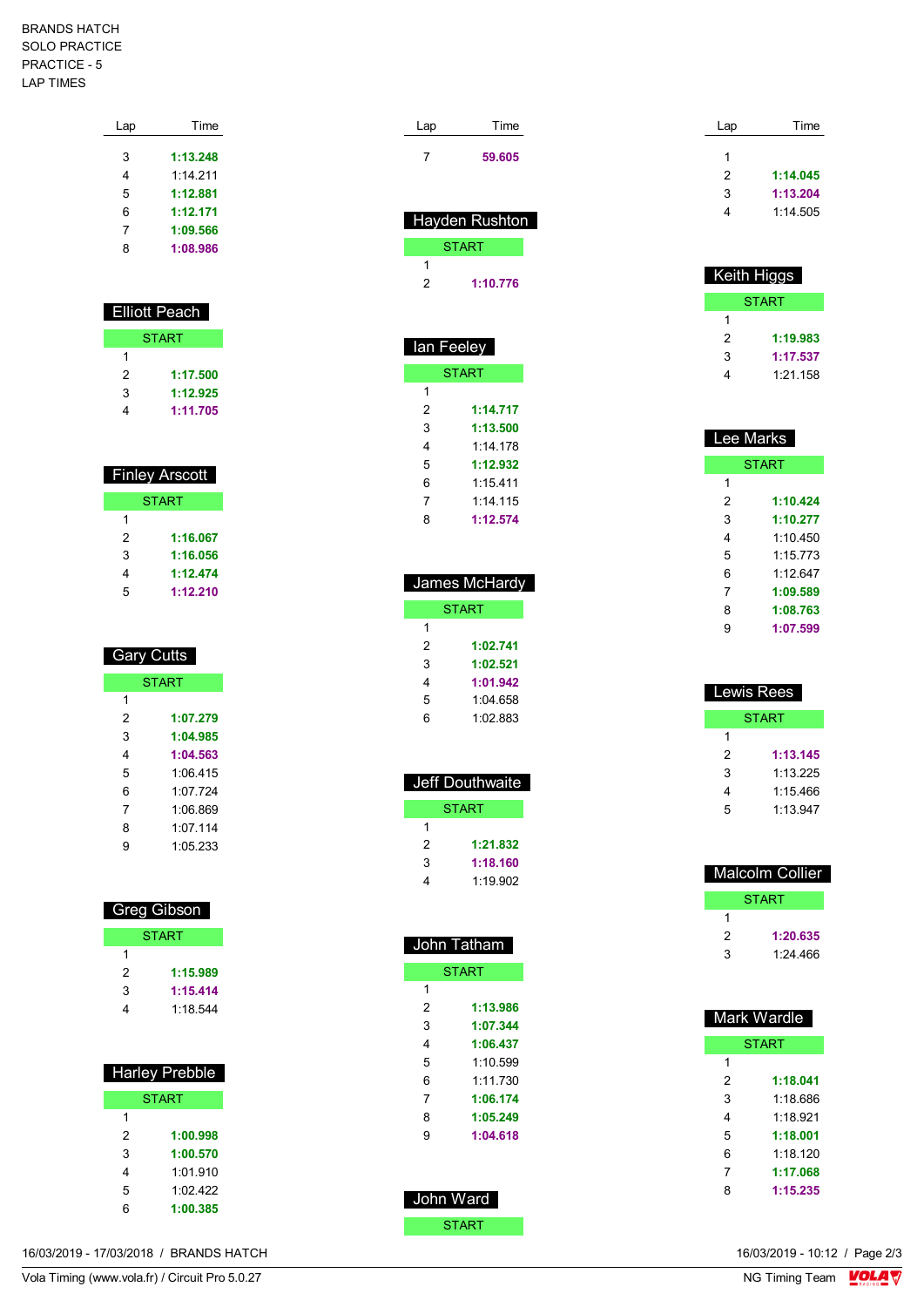## BRANDS HATCH SOLO PRACTICE PRACTICE - 5 LAP TIMES

| Lap | Time     |
|-----|----------|
|     |          |
| 3   | 1:13.248 |
| 4   | 1.14211  |
| 5   | 1:12.881 |
| 6   | 1:12.171 |
| 7   | 1:09.566 |
| 8   | 1:08.986 |
|     |          |

| <b>Elliott Peach</b> |          |  |
|----------------------|----------|--|
| <b>START</b>         |          |  |
|                      |          |  |
| 2                    | 1:17.500 |  |
| 3                    | 1:12.925 |  |
|                      | 1:11.705 |  |

| <b>Finley Arscott</b> |          |  |  |
|-----------------------|----------|--|--|
| <b>START</b>          |          |  |  |
| 1                     |          |  |  |
| 2                     | 1:16.067 |  |  |
| 3                     | 1:16.056 |  |  |
| 4                     | 1:12.474 |  |  |
| 5                     | 1:12.210 |  |  |

| <b>Gary Cutts</b> |          |  |
|-------------------|----------|--|
| <b>START</b>      |          |  |
| 1                 |          |  |
| 2                 | 1:07.279 |  |
| 3                 | 1:04.985 |  |
| 4                 | 1:04.563 |  |
| 5                 | 1:06 415 |  |
| 6                 | 1.07 724 |  |
| 7                 | 1:06.869 |  |
| 8                 | 1.07114  |  |
| g                 | 1:05.233 |  |

| Greg Gibson  |          |  |
|--------------|----------|--|
| <b>START</b> |          |  |
|              |          |  |
| 2            | 1:15.989 |  |
| 3            | 1:15.414 |  |
|              | 1.18.544 |  |

| <b>Harley Prebble</b> |          |  |
|-----------------------|----------|--|
| <b>START</b>          |          |  |
| 1                     |          |  |
| 2                     | 1:00.998 |  |
| 3                     | 1:00,570 |  |
| 4                     | 1:01 910 |  |
| 5                     | 1.02 422 |  |
| հ                     | 1:00.385 |  |

| Lap<br>7                             | Time<br>59.605                                                                               |
|--------------------------------------|----------------------------------------------------------------------------------------------|
|                                      | Hayden Rushton<br><b>START</b>                                                               |
| 1<br>2                               | 1:10.776                                                                                     |
| lan Feeley                           |                                                                                              |
|                                      | <b>START</b>                                                                                 |
| 1<br>2<br>3<br>4<br>5<br>6<br>7<br>8 | 1:14.717<br>1:13.500<br>1:14.178<br>1:12.932<br>1:15.411<br>1:14.115<br>1:12.574             |
|                                      | James McHardy                                                                                |
|                                      | <b>START</b>                                                                                 |
| 1<br>2<br>3<br>4<br>5<br>6           | 1:02.741<br>1:02.521<br>1:01.942<br>1:04.658<br>1:02.883                                     |
|                                      | Jeff Douthwaite                                                                              |
|                                      | <b>START</b>                                                                                 |
| 1<br>2<br>3<br>4                     | 1:21.832<br>1:18.160<br>1:19.902                                                             |
|                                      | John Tatham                                                                                  |
| 1                                    | <b>START</b>                                                                                 |
| 2<br>3<br>4<br>5<br>6<br>7<br>8<br>9 | 1:13.986<br>1:07.344<br>1:06.437<br>1:10.599<br>1:11.730<br>1:06.174<br>1:05.249<br>1:04.618 |
| John Ward                            |                                                                                              |
|                                      | <b>START</b>                                                                                 |

| Lap | Time     |
|-----|----------|
|     |          |
| 1   |          |
| 2   | 1:14.045 |
| 3   | 1:13.204 |
| 4   | 1:14.505 |
|     |          |

| <b>Keith Higgs</b> |          |  |
|--------------------|----------|--|
| START              |          |  |
| 1                  |          |  |
| 2                  | 1:19.983 |  |
| 3                  | 1:17.537 |  |
|                    | 1:21.158 |  |

| Lee Marks    |          |  |  |
|--------------|----------|--|--|
| <b>START</b> |          |  |  |
| 1            |          |  |  |
| 2            | 1:10.424 |  |  |
| 3            | 1:10.277 |  |  |
| 4            | 1.10450  |  |  |
| 5            | 1.15773  |  |  |
| 6            | 1.12647  |  |  |
| 7            | 1:09.589 |  |  |
| 8            | 1:08.763 |  |  |
| g            | 1:07.599 |  |  |

| Lewis Rees |          |  |
|------------|----------|--|
| START      |          |  |
| 1          |          |  |
| 2          | 1:13.145 |  |
| 3          | 1.13225  |  |
| 4          | 1:15.466 |  |
| 5          | 1:13.947 |  |
|            |          |  |

| Malcolm Collier |          |
|-----------------|----------|
| START           |          |
| 1               |          |
| 2               | 1:20.635 |
| ٩               | 1:24.466 |

| Mark Wardle  |          |
|--------------|----------|
| <b>START</b> |          |
| 1            |          |
| 2            | 1:18.041 |
| 3            | 1.18 686 |
| 4            | 1.18921  |
| 5            | 1:18.001 |
| 6            | 1.18 120 |
| 7            | 1:17.068 |
| 8            | 1:15.235 |

16/03/2019 - 10:12 / Page 2/3<br>NG Timing Team  $\frac{\text{VOLA}}{\text{V}}$